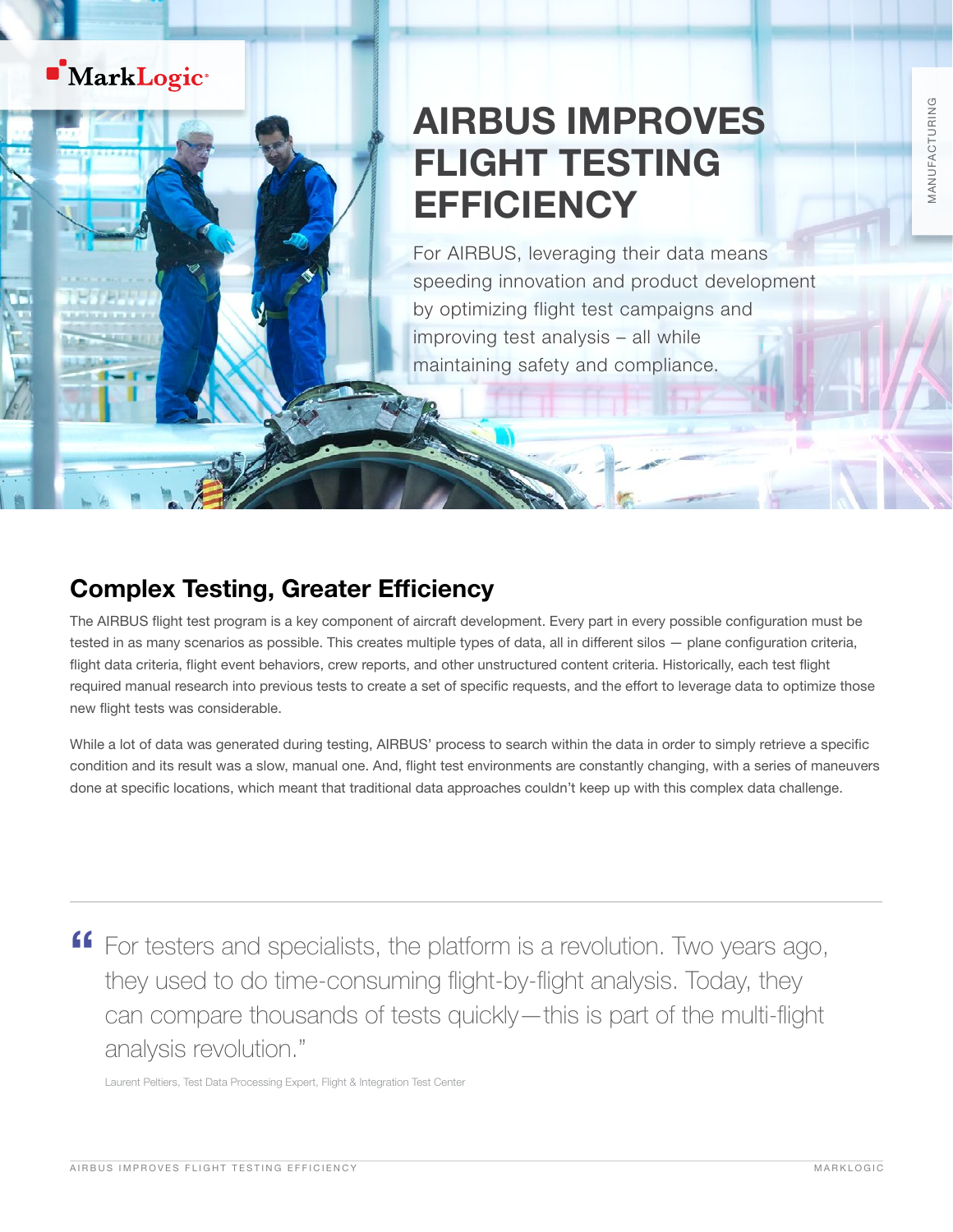## **MarkLogic**

# AIRBUS IMPROVES FLIGHT TESTING **EFFICIENCY**

For AIRBUS, leveraging their data means speeding innovation and product development by optimizing flight test campaigns and improving test analysis – all while maintaining safety and compliance.

### Complex Testing, Greater Efficiency

The AIRBUS flight test program is a key component of aircraft development. Every part in every possible configuration must be tested in as many scenarios as possible. This creates multiple types of data, all in different silos — plane configuration criteria, flight data criteria, flight event behaviors, crew reports, and other unstructured content criteria. Historically, each test flight required manual research into previous tests to create a set of specific requests, and the effort to leverage data to optimize those new flight tests was considerable.

While a lot of data was generated during testing, AIRBUS' process to search within the data in order to simply retrieve a specific condition and its result was a slow, manual one. And, flight test environments are constantly changing, with a series of maneuvers done at specific locations, which meant that traditional data approaches couldn't keep up with this complex data challenge.

" For testers and specialists, the platform is a revolution. Two years ago, they used to do time-consuming flight-by-flight analysis. Today, they can compare thousands of tests quickly—this is part of the multi-flight analysis revolution."

Laurent Peltiers, Test Data Processing Expert, Flight & Integration Test Center